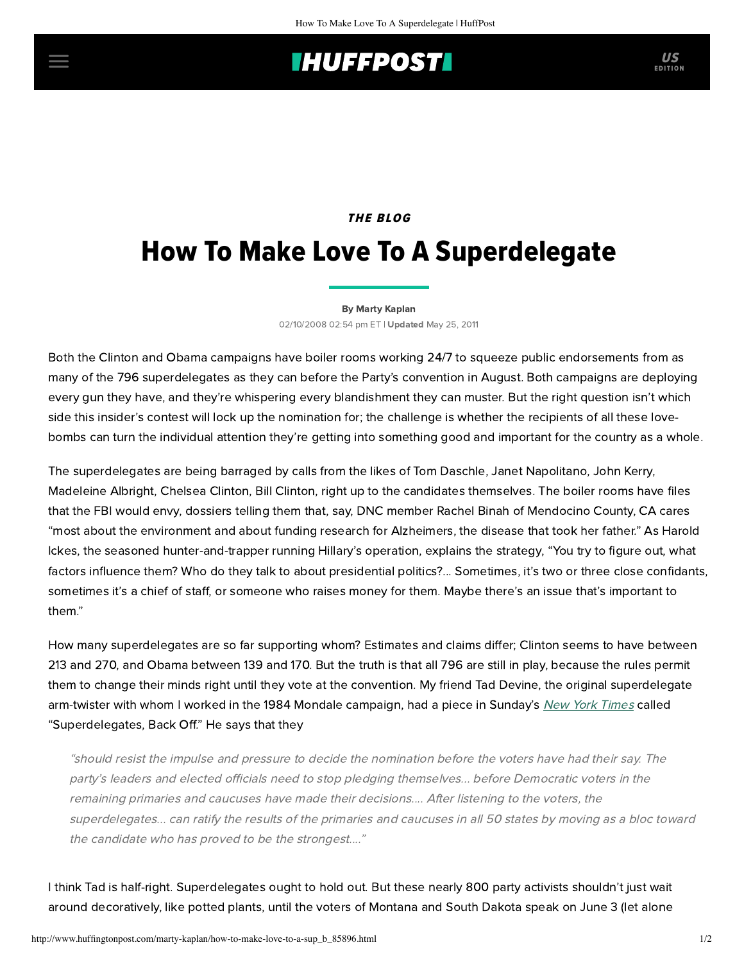## **INUFFPOSTI** US

## THE BLOG

# How To Make Love To A Superdelegate

#### [By Marty Kaplan](http://www.huffingtonpost.com/author/marty-kaplan)

02/10/2008 02:54 pm ET | Updated May 25, 2011

Both the Clinton and Obama campaigns have boiler rooms working 24/7 to squeeze public endorsements from as many of the 796 superdelegates as they can before the Party's convention in August. Both campaigns are deploying every gun they have, and they're whispering every blandishment they can muster. But the right question isn't which side this insider's contest will lock up the nomination for; the challenge is whether the recipients of all these lovebombs can turn the individual attention they're getting into something good and important for the country as a whole.

The superdelegates are being barraged by calls from the likes of Tom Daschle, Janet Napolitano, John Kerry, Madeleine Albright, Chelsea Clinton, Bill Clinton, right up to the candidates themselves. The boiler rooms have files that the FBI would envy, dossiers [telling them](http://www.latimes.com/news/nationworld/politics/la-na-superdel9feb09,1,6594239.story?page=1) that, say, DNC member Rachel Binah of Mendocino County, CA cares "most about the environment and about funding research for Alzheimers, the disease that took her father." As Harold Ickes, the seasoned hunter-and-trapper running Hillary's operation, [explains the strategy](http://www.nytimes.com/2008/02/10/us/politics/10superdelegates.html?_r=1&hp&oref=slogin), "You try to figure out, what factors influence them? Who do they talk to about presidential politics?... Sometimes, it's two or three close confidants, sometimes it's a chief of staff, or someone who raises money for them. Maybe there's an issue that's important to them."

How many superdelegates are so far supporting whom? Estimates and claims differ; Clinton seems to have between 213 and 270, and Obama between 139 and 170. But the truth is that all 796 are still in play, because the rules permit them to change their minds right until they vote at the convention. My friend Tad Devine, the original superdelegate arm-twister with whom I worked in the 1984 Mondale campaign, had a piece in Sunday's [New York](http://www.nytimes.com/2008/02/10/opinion/10devine.html?ref=opinion) Times called "Superdelegates, Back Off." He says that they

"should resist the impulse and pressure to decide the nomination before the voters have had their say. The party's leaders and elected officials need to stop pledging themselves... before Democratic voters in the remaining primaries and caucuses have made their decisions.... After listening to the voters, the superdelegates... can ratify the results of the primaries and caucuses in all 50 states by moving as a bloc toward the candidate who has proved to be the strongest...."

I think Tad is half-right. Superdelegates ought to hold out. But these nearly 800 party activists shouldn't just wait around decoratively, like potted plants, until the voters of Montana and South Dakota speak on June 3 (let alone